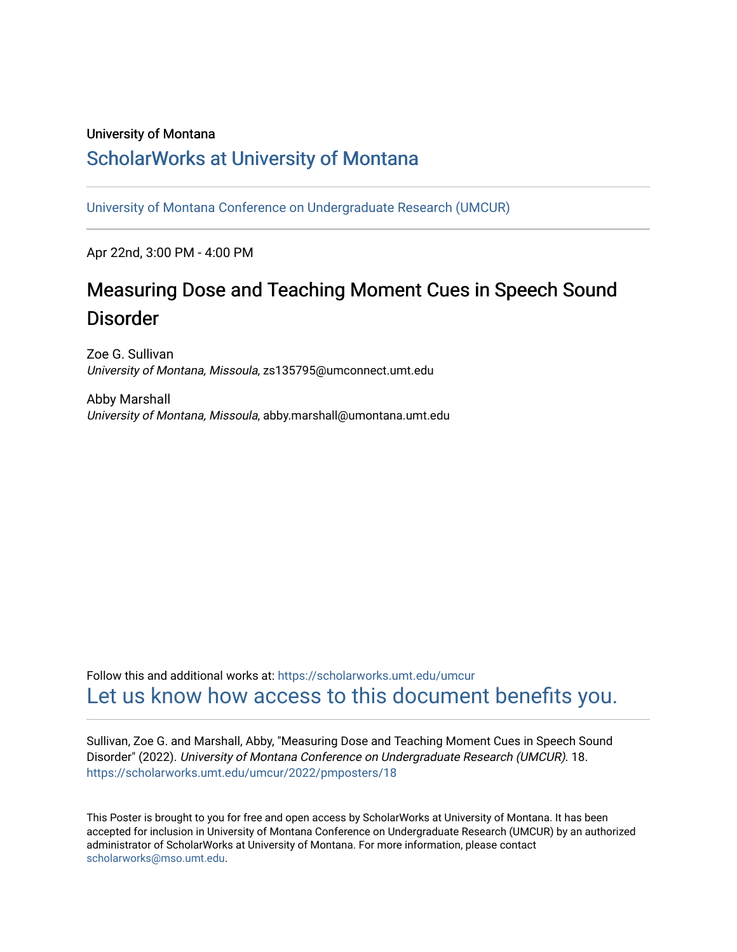### University of Montana

### [ScholarWorks at University of Montana](https://scholarworks.umt.edu/)

[University of Montana Conference on Undergraduate Research \(UMCUR\)](https://scholarworks.umt.edu/umcur)

Apr 22nd, 3:00 PM - 4:00 PM

### Measuring Dose and Teaching Moment Cues in Speech Sound Disorder

Zoe G. Sullivan University of Montana, Missoula, zs135795@umconnect.umt.edu

Abby Marshall University of Montana, Missoula, abby.marshall@umontana.umt.edu

Follow this and additional works at: [https://scholarworks.umt.edu/umcur](https://scholarworks.umt.edu/umcur?utm_source=scholarworks.umt.edu%2Fumcur%2F2022%2Fpmposters%2F18&utm_medium=PDF&utm_campaign=PDFCoverPages)  [Let us know how access to this document benefits you.](https://goo.gl/forms/s2rGfXOLzz71qgsB2) 

Sullivan, Zoe G. and Marshall, Abby, "Measuring Dose and Teaching Moment Cues in Speech Sound Disorder" (2022). University of Montana Conference on Undergraduate Research (UMCUR). 18. [https://scholarworks.umt.edu/umcur/2022/pmposters/18](https://scholarworks.umt.edu/umcur/2022/pmposters/18?utm_source=scholarworks.umt.edu%2Fumcur%2F2022%2Fpmposters%2F18&utm_medium=PDF&utm_campaign=PDFCoverPages) 

This Poster is brought to you for free and open access by ScholarWorks at University of Montana. It has been accepted for inclusion in University of Montana Conference on Undergraduate Research (UMCUR) by an authorized administrator of ScholarWorks at University of Montana. For more information, please contact [scholarworks@mso.umt.edu.](mailto:scholarworks@mso.umt.edu)